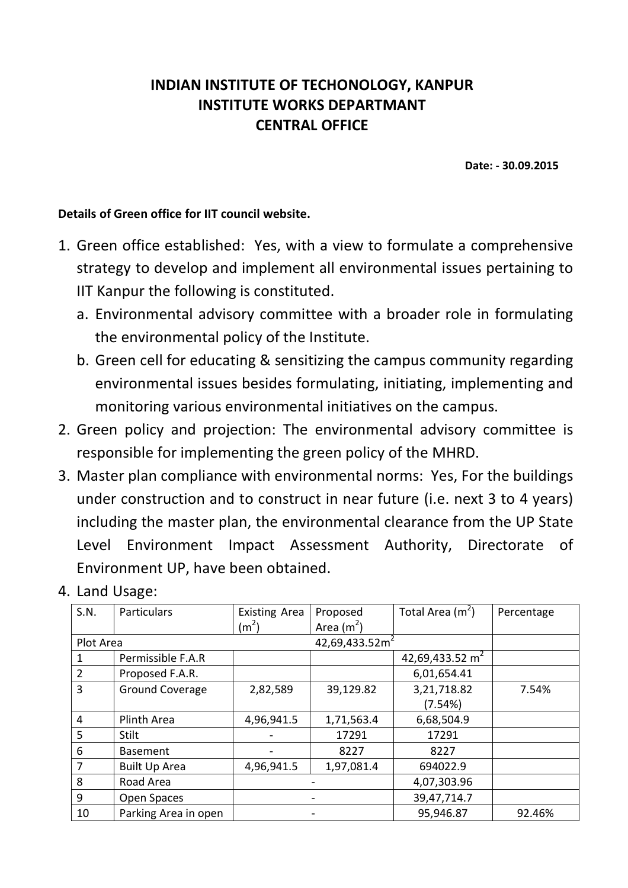## **INDIAN INSTITUTE OF TECHONOLOGY, KANPUR INSTITUTE WORKS DEPARTMANT CENTRAL OFFICE**

 **Date: - 30.09.2015** 

## **Details of Green office for IIT council website.**

- 1. Green office established: Yes, with a view to formulate a comprehensive strategy to develop and implement all environmental issues pertaining to IIT Kanpur the following is constituted.
	- a. Environmental advisory committee with a broader role in formulating the environmental policy of the Institute.
	- b. Green cell for educating & sensitizing the campus community regarding environmental issues besides formulating, initiating, implementing and monitoring various environmental initiatives on the campus.
- 2. Green policy and projection: The environmental advisory committee is responsible for implementing the green policy of the MHRD.
- 3. Master plan compliance with environmental norms: Yes, For the buildings under construction and to construct in near future (i.e. next 3 to 4 years) including the master plan, the environmental clearance from the UP State Level Environment Impact Assessment Authority, Directorate of Environment UP, have been obtained.

| S.N.      | Particulars            | <b>Existing Area</b> | Proposed    | Total Area $(m2)$           | Percentage |
|-----------|------------------------|----------------------|-------------|-----------------------------|------------|
|           |                        | (m <sup>2</sup> )    | Area $(m2)$ |                             |            |
| Plot Area |                        |                      |             |                             |            |
| 1         | Permissible F.A.R      |                      |             | 42,69,433.52 m <sup>2</sup> |            |
| 2         | Proposed F.A.R.        |                      |             | 6,01,654.41                 |            |
| 3         | <b>Ground Coverage</b> | 2,82,589             | 39,129.82   | 3,21,718.82                 | 7.54%      |
|           |                        |                      |             | (7.54%)                     |            |
| 4         | Plinth Area            | 4,96,941.5           | 1,71,563.4  | 6,68,504.9                  |            |
| 5         | Stilt                  |                      | 17291       | 17291                       |            |
| 6         | <b>Basement</b>        |                      | 8227        | 8227                        |            |
| 7         | <b>Built Up Area</b>   | 4,96,941.5           | 1,97,081.4  | 694022.9                    |            |
| 8         | Road Area              |                      |             | 4,07,303.96                 |            |
| 9         | Open Spaces            |                      |             | 39,47,714.7                 |            |
| 10        | Parking Area in open   |                      |             | 95,946.87                   | 92.46%     |

4. Land Usage: